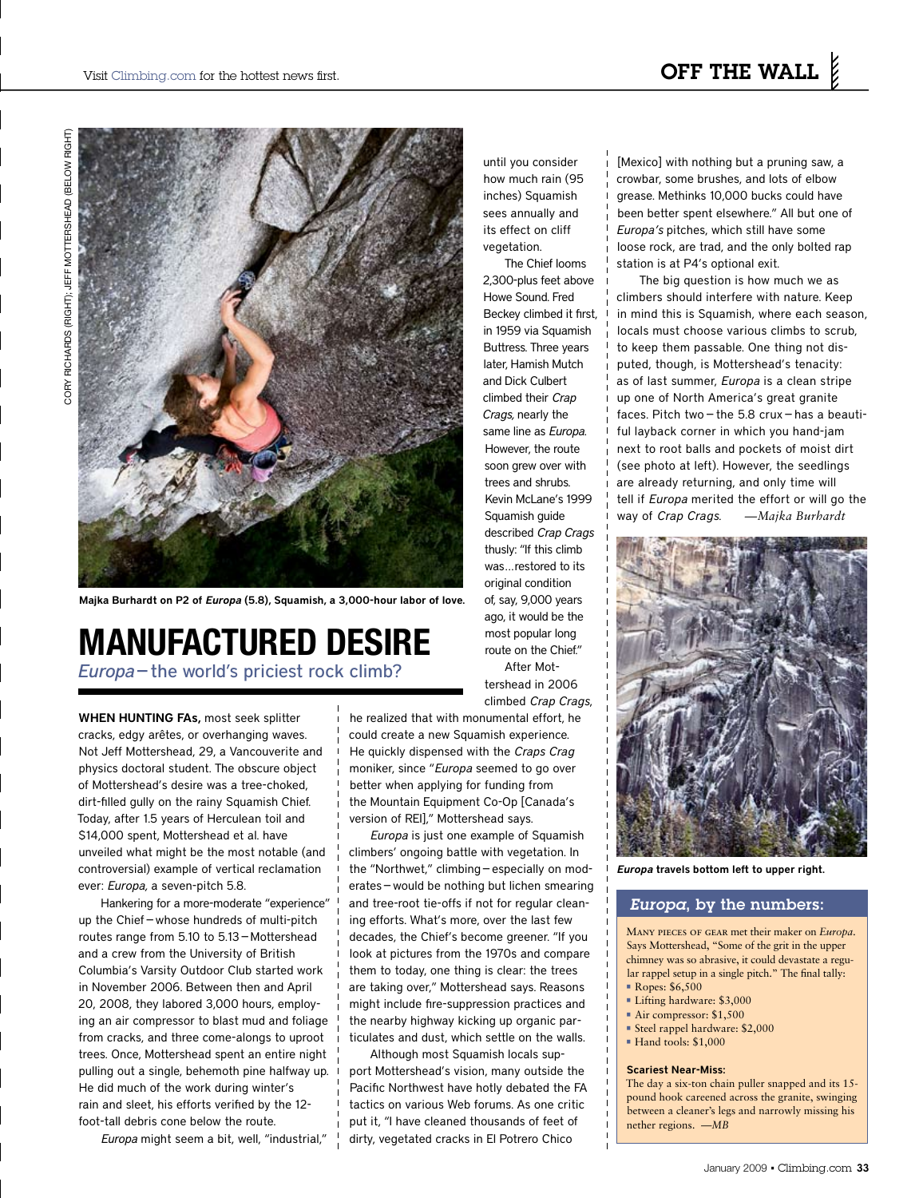

Majka Burhardt on P2 of *Europa* (5.8), Squamish, a 3,000-hour labor of love.

## **MANUFACTURED DESIRE**

*Europa* — the world's priciest rock climb?

WHEN HUNTING FAs, most seek splitter cracks, edgy arêtes, or overhanging waves. Not Jeff Mottershead, 29, a Vancouverite and physics doctoral student. The obscure object of Mottershead's desire was a tree-choked, dirt-filled gully on the rainy Squamish Chief. Today, after 1.5 years of Herculean toil and \$14,000 spent, Mottershead et al. have unveiled what might be the most notable (and controversial) example of vertical reclamation ever: *Europa,* a seven-pitch 5.8.

Hankering for a more-moderate "experience" up the Chief—whose hundreds of multi-pitch routes range from 5.10 to 5.13—Mottershead and a crew from the University of British Columbia's Varsity Outdoor Club started work in November 2006. Between then and April 20, 2008, they labored 3,000 hours, employing an air compressor to blast mud and foliage from cracks, and three come-alongs to uproot trees. Once, Mottershead spent an entire night pulling out a single, behemoth pine halfway up. He did much of the work during winter's rain and sleet, his efforts verified by the 12 foot-tall debris cone below the route.

 *Europa* might seem a bit, well, "industrial,"

until you consider how much rain (95 inches) Squamish sees annually and its effect on cliff vegetation.

The Chief looms 2,300-plus feet above Howe Sound. Fred Beckey climbed it first, in 1959 via Squamish Buttress. Three years later, Hamish Mutch and Dick Culbert climbed their *Crap Crags,* nearly the same line as *Europa.* However, the route soon grew over with trees and shrubs. Kevin McLane's 1999 Squamish guide described *Crap Crags* thusly: "If this climb was...restored to its original condition of, say, 9,000 years ago, it would be the most popular long route on the Chief." After Mottershead in 2006

climbed *Crap Crags*, he realized that with monumental effort, he

could create a new Squamish experience. He quickly dispensed with the *Craps Crag* moniker, since "*Europa* seemed to go over better when applying for funding from the Mountain Equipment Co-Op [Canada's version of REI]," Mottershead says.

*Europa* is just one example of Squamish climbers' ongoing battle with vegetation. In the "Northwet," climbing—especially on moderates—would be nothing but lichen smearing and tree-root tie-offs if not for regular cleaning efforts. What's more, over the last few decades, the Chief's become greener. "If you look at pictures from the 1970s and compare them to today, one thing is clear: the trees are taking over," Mottershead says. Reasons might include fire-suppression practices and the nearby highway kicking up organic particulates and dust, which settle on the walls.

Although most Squamish locals support Mottershead's vision, many outside the Pacific Northwest have hotly debated the FA tactics on various Web forums. As one critic put it, "I have cleaned thousands of feet of dirty, vegetated cracks in El Potrero Chico

[Mexico] with nothing but a pruning saw, a crowbar, some brushes, and lots of elbow grease. Methinks 10,000 bucks could have been better spent elsewhere." All but one of *Europa's* pitches, which still have some loose rock, are trad, and the only bolted rap station is at P4's optional exit.

The big question is how much we as climbers should interfere with nature. Keep in mind this is Squamish, where each season, locals must choose various climbs to scrub, to keep them passable. One thing not disputed, though, is Mottershead's tenacity: as of last summer, *Europa* is a clean stripe up one of North America's great granite faces. Pitch two—the 5.8 crux—has a beautiful layback corner in which you hand-jam next to root balls and pockets of moist dirt (see photo at left). However, the seedlings are already returning, and only time will tell if *Europa* merited the effort or will go the way of *Crap Crags. —Majka Burhardt*



*Europa* travels bottom left to upper right.

### *Europa*, by the numbers:

Many pieces of gear met their maker on *Europa*. Says Mottershead, "Some of the grit in the upper chimney was so abrasive, it could devastate a regular rappel setup in a single pitch." The final tally: • Ropes: \$6,500

- 
- Lifting hardware: \$3,000
- Air compressor: \$1,500
- Steel rappel hardware: \$2,000
- Hand tools: \$1,000

#### Scariest Near-Miss:

The day a six-ton chain puller snapped and its 15 pound hook careened across the granite, swinging between a cleaner's legs and narrowly missing his nether regions. *—MB*